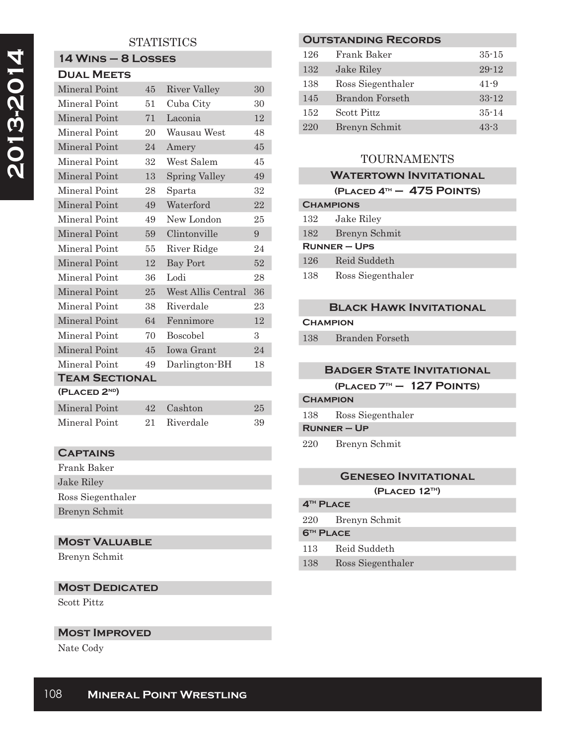# **STATISTICS**

# **14 Wins – 8 Losses**

| <b>DUAL MEETS</b>         |                 |                      |    |
|---------------------------|-----------------|----------------------|----|
| Mineral Point             | 45              | River Valley         | 30 |
| Mineral Point             | 51              | Cuba City            | 30 |
| Mineral Point             | 71              | Laconia              | 12 |
| Mineral Point             | 20              | Wausau West          | 48 |
| Mineral Point             | 24              | Amery                | 45 |
| Mineral Point             | 32              | West Salem           | 45 |
| Mineral Point             | 13              | <b>Spring Valley</b> | 49 |
| Mineral Point             | 28              | Sparta               | 32 |
| Mineral Point             | 49              | Waterford            | 22 |
| Mineral Point             | 49              | New London           | 25 |
| Mineral Point             | 59              | Clintonville         | 9  |
| Mineral Point             | 55              | River Ridge          | 24 |
| Mineral Point             | 12              | <b>Bay Port</b>      | 52 |
| Mineral Point             | 36              | Lodi                 | 28 |
| Mineral Point             | 25 <sub>1</sub> | West Allis Central   | 36 |
| Mineral Point             | 38              | Riverdale            | 23 |
| Mineral Point             | 64              | Fennimore            | 12 |
| Mineral Point             | 70              | <b>Boscobel</b>      | 3  |
| Mineral Point             | 45              | Iowa Grant           | 24 |
| Mineral Point             | 49              | Darlington-BH        | 18 |
| <b>TEAM SECTIONAL</b>     |                 |                      |    |
| (PLACED 2 <sup>ND</sup> ) |                 |                      |    |
| Mineral Point             | 42              | Cashton              | 25 |

Mineral Point 21 Riverdale 39

| <b>CAPTAINS</b>   |
|-------------------|
| Frank Baker       |
| Jake Riley        |
| Ross Siegenthaler |
| Brenyn Schmit     |
|                   |

# **Most Valuable**

Brenyn Schmit

# **Most Dedicated**

Scott Pittz

#### **Most Improved**

Nate Cody

| <b>OUTSTANDING RECORDS</b> |                    |           |
|----------------------------|--------------------|-----------|
| 126                        | Frank Baker        | $35 - 15$ |
| 132                        | Jake Riley         | $29 - 12$ |
| 138                        | Ross Siegenthaler  | $41 - 9$  |
| 145                        | Brandon Forseth    | $33 - 12$ |
| 152                        | <b>Scott Pittz</b> | $35 - 14$ |
| 220                        | Brenyn Schmit      | $43 - 3$  |

# TOURNAMENTS

#### **WATERTOWN INVITATIONAL**

#### **(Placed 4th – 475 Points)**

| <b>CHAMPIONS</b> |               |
|------------------|---------------|
| 132              | Jake Riley    |
| 182              | Brenyn Schmit |
| $R$ UNNER – UPS  |               |
|                  |               |
| 126              | Reid Suddeth  |

# **Black Hawk Invitational**

**Champion**

138 Branden Forseth

#### **Badger State Invitational**

**(Placed 7th – 127 Points)**

**Champion** 138 Ross Siegenthaler

**Runner – Up**

220 Brenyn Schmit

# **Geneseo Invitational (Placed 12th)**

# **4th Place**

220 Brenyn Schmit

### **6th Place**

- 113 Reid Suddeth
- 138 Ross Siegenthaler